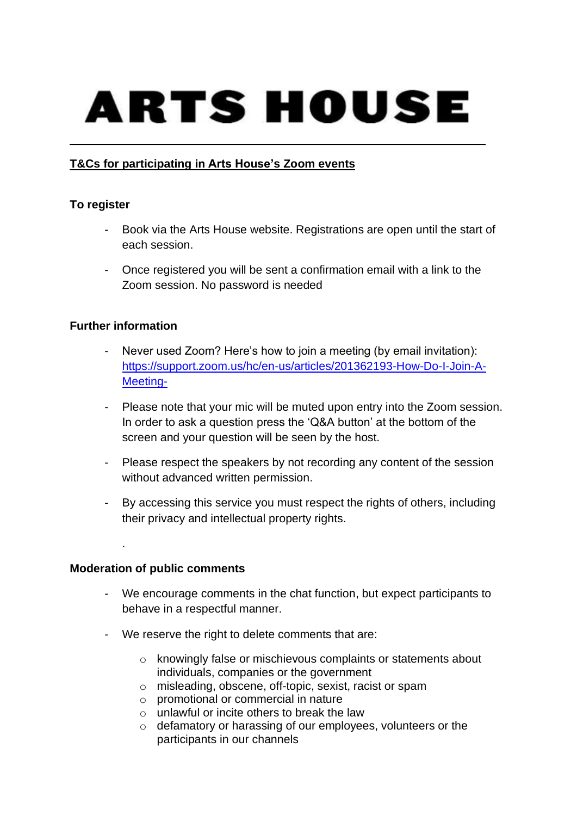# ARTS HOUSE

## **T&Cs for participating in Arts House's Zoom events**

#### **To register**

- Book via the Arts House website. Registrations are open until the start of each session.
- Once registered you will be sent a confirmation email with a link to the Zoom session. No password is needed

#### **Further information**

- Never used Zoom? Here's how to join a meeting (by email invitation): [https://support.zoom.us/hc/en-us/articles/201362193-How-Do-I-Join-A-](https://support.zoom.us/hc/en-us/articles/201362193-How-Do-I-Join-A-Meeting-)[Meeting-](https://support.zoom.us/hc/en-us/articles/201362193-How-Do-I-Join-A-Meeting-)
- Please note that your mic will be muted upon entry into the Zoom session. In order to ask a question press the 'Q&A button' at the bottom of the screen and your question will be seen by the host.
- Please respect the speakers by not recording any content of the session without advanced written permission.
- By accessing this service you must respect the rights of others, including their privacy and intellectual property rights.

#### **Moderation of public comments**

.

- We encourage comments in the chat function, but expect participants to behave in a respectful manner.
- We reserve the right to delete comments that are:
	- o knowingly false or mischievous complaints or statements about individuals, companies or the government
	- o misleading, obscene, off-topic, sexist, racist or spam
	- o promotional or commercial in nature
	- o unlawful or incite others to break the law
	- o defamatory or harassing of our employees, volunteers or the participants in our channels